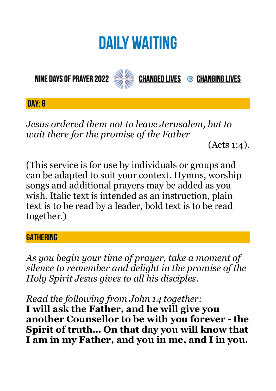# **DAILY WAITING**

**NINE DAYS OF PRAYER 2022** 



**CHANGED LIVES → CHANGING LIVES** 

**DAY: 8**

*Jesus ordered them not to leave Jerusalem, but to wait there for the promise of the Father* 

(Acts 1:4).

(This service is for use by individuals or groups and can be adapted to suit your context. Hymns, worship songs and additional prayers may be added as you wish. Italic text is intended as an instruction, plain text is to be read by a leader, bold text is to be read together.)

## **GATHERING**

*As you begin your time of prayer, take a moment of silence to remember and delight in the promise of the Holy Spirit Jesus gives to all his disciples.*

*Read the following from John 14 together:* 

**I will ask the Father, and he will give you another Counsellor to be with you forever - the Spirit of truth… On that day you will know that I am in my Father, and you in me, and I in you.**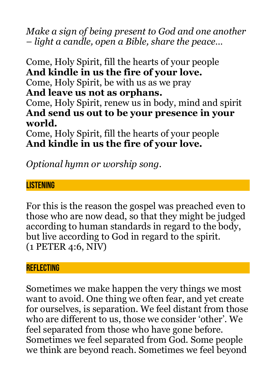*Make a sign of being present to God and one another – light a candle, open a Bible, share the peace…* 

Come, Holy Spirit, fill the hearts of your people **And kindle in us the fire of your love.**  Come, Holy Spirit, be with us as we pray **And leave us not as orphans.**  Come, Holy Spirit, renew us in body, mind and spirit **And send us out to be your presence in your world.** 

Come, Holy Spirit, fill the hearts of your people **And kindle in us the fire of your love.** 

*Optional hymn or worship song.* 

# **LISTENING**

For this is the reason the gospel was preached even to those who are now dead, so that they might be judged according to human standards in regard to the body, but live according to God in regard to the spirit. (1 PETER 4:6, NIV)

### **REFLECTING**

Sometimes we make happen the very things we most want to avoid. One thing we often fear, and yet create for ourselves, is separation. We feel distant from those who are different to us, those we consider 'other'. We feel separated from those who have gone before. Sometimes we feel separated from God. Some people we think are beyond reach. Sometimes we feel beyond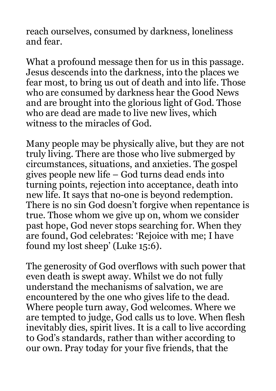reach ourselves, consumed by darkness, loneliness and fear.

What a profound message then for us in this passage. Jesus descends into the darkness, into the places we fear most, to bring us out of death and into life. Those who are consumed by darkness hear the Good News and are brought into the glorious light of God. Those who are dead are made to live new lives, which witness to the miracles of God.

Many people may be physically alive, but they are not truly living. There are those who live submerged by circumstances, situations, and anxieties. The gospel gives people new life – God turns dead ends into turning points, rejection into acceptance, death into new life. It says that no-one is beyond redemption. There is no sin God doesn't forgive when repentance is true. Those whom we give up on, whom we consider past hope, God never stops searching for. When they are found, God celebrates: 'Rejoice with me; I have found my lost sheep' (Luke 15:6).

The generosity of God overflows with such power that even death is swept away. Whilst we do not fully understand the mechanisms of salvation, we are encountered by the one who gives life to the dead. Where people turn away, God welcomes. Where we are tempted to judge, God calls us to love. When flesh inevitably dies, spirit lives. It is a call to live according to God's standards, rather than wither according to our own. Pray today for your five friends, that the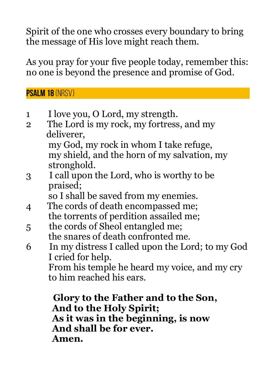Spirit of the one who crosses every boundary to bring the message of His love might reach them.

As you pray for your five people today, remember this: no one is beyond the presence and promise of God.

**Psalm 18** (NRSV)

- 1 I love you, O Lord, my strength.
- 2 The Lord is my rock, my fortress, and my deliverer, my God, my rock in whom I take refuge, my shield, and the horn of my salvation, my
- stronghold. 3 I call upon the Lord, who is worthy to be praised;

so I shall be saved from my enemies.

- 4 The cords of death encompassed me; the torrents of perdition assailed me;
- 5 the cords of Sheol entangled me; the snares of death confronted me.
- 6 In my distress I called upon the Lord; to my God I cried for help.

 From his temple he heard my voice, and my cry to him reached his ears.

 **Glory to the Father and to the Son, And to the Holy Spirit; As it was in the beginning, is now And shall be for ever. Amen.**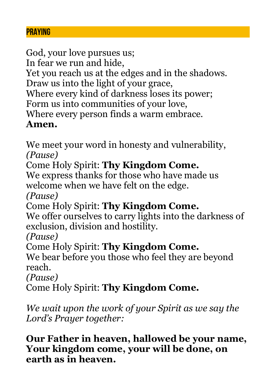#### **PRAYING**

God, your love pursues us; In fear we run and hide, Yet you reach us at the edges and in the shadows. Draw us into the light of your grace, Where every kind of darkness loses its power; Form us into communities of your love, Where every person finds a warm embrace. **Amen.**

We meet your word in honesty and vulnerability, *(Pause)*

Come Holy Spirit: **Thy Kingdom Come.**

We express thanks for those who have made us welcome when we have felt on the edge.

*(Pause)*

Come Holy Spirit: **Thy Kingdom Come.**

We offer ourselves to carry lights into the darkness of exclusion, division and hostility.

*(Pause)*

Come Holy Spirit: **Thy Kingdom Come.**

We bear before you those who feel they are beyond reach.

*(Pause)*

Come Holy Spirit: **Thy Kingdom Come.**

*We wait upon the work of your Spirit as we say the Lord's Prayer together:*

**Our Father in heaven, hallowed be your name, Your kingdom come, your will be done, on earth as in heaven.**